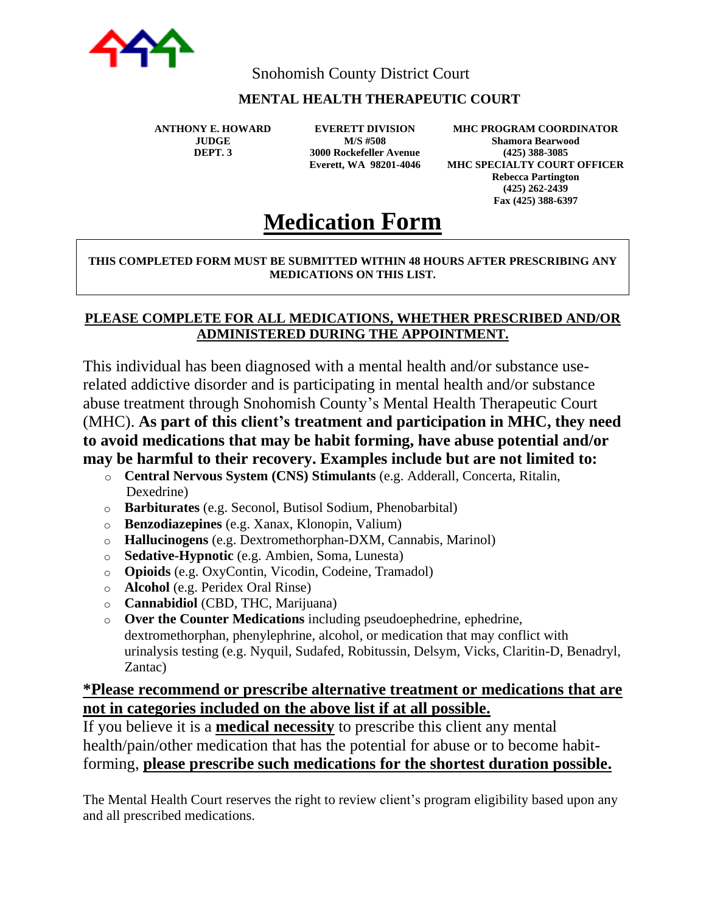

Snohomish County District Court

### **MENTAL HEALTH THERAPEUTIC COURT**

**ANTHONY E. HOWARD JUDGE DEPT. 3**

**EVERETT DIVISION M/S #508 3000 Rockefeller Avenue Everett, WA 98201-4046**

**MHC PROGRAM COORDINATOR Shamora Bearwood (425) 388-3085 MHC SPECIALTY COURT OFFICER Rebecca Partington (425) 262-2439 Fax (425) 388-6397**

# **Medication Form**

#### **THIS COMPLETED FORM MUST BE SUBMITTED WITHIN 48 HOURS AFTER PRESCRIBING ANY MEDICATIONS ON THIS LIST.**

#### **PLEASE COMPLETE FOR ALL MEDICATIONS, WHETHER PRESCRIBED AND/OR ADMINISTERED DURING THE APPOINTMENT.**

This individual has been diagnosed with a mental health and/or substance userelated addictive disorder and is participating in mental health and/or substance abuse treatment through Snohomish County's Mental Health Therapeutic Court (MHC). **As part of this client's treatment and participation in MHC, they need to avoid medications that may be habit forming, have abuse potential and/or may be harmful to their recovery. Examples include but are not limited to:** 

- o **Central Nervous System (CNS) Stimulants** (e.g. Adderall, Concerta, Ritalin, Dexedrine)
- o **Barbiturates** (e.g. Seconol, Butisol Sodium, Phenobarbital)
- o **Benzodiazepines** (e.g. Xanax, Klonopin, Valium)
- o **Hallucinogens** (e.g. Dextromethorphan-DXM, Cannabis, Marinol)
- o **Sedative-Hypnotic** (e.g. Ambien, Soma, Lunesta)
- o **Opioids** (e.g. OxyContin, Vicodin, Codeine, Tramadol)
- o **Alcohol** (e.g. Peridex Oral Rinse)
- o **Cannabidiol** (CBD, THC, Marijuana)
- o **Over the Counter Medications** including pseudoephedrine, ephedrine, dextromethorphan, phenylephrine, alcohol, or medication that may conflict with urinalysis testing (e.g. Nyquil, Sudafed, Robitussin, Delsym, Vicks, Claritin-D, Benadryl, Zantac)

## **\*Please recommend or prescribe alternative treatment or medications that are not in categories included on the above list if at all possible.**

If you believe it is a **medical necessity** to prescribe this client any mental health/pain/other medication that has the potential for abuse or to become habitforming, **please prescribe such medications for the shortest duration possible.**

The Mental Health Court reserves the right to review client's program eligibility based upon any and all prescribed medications.